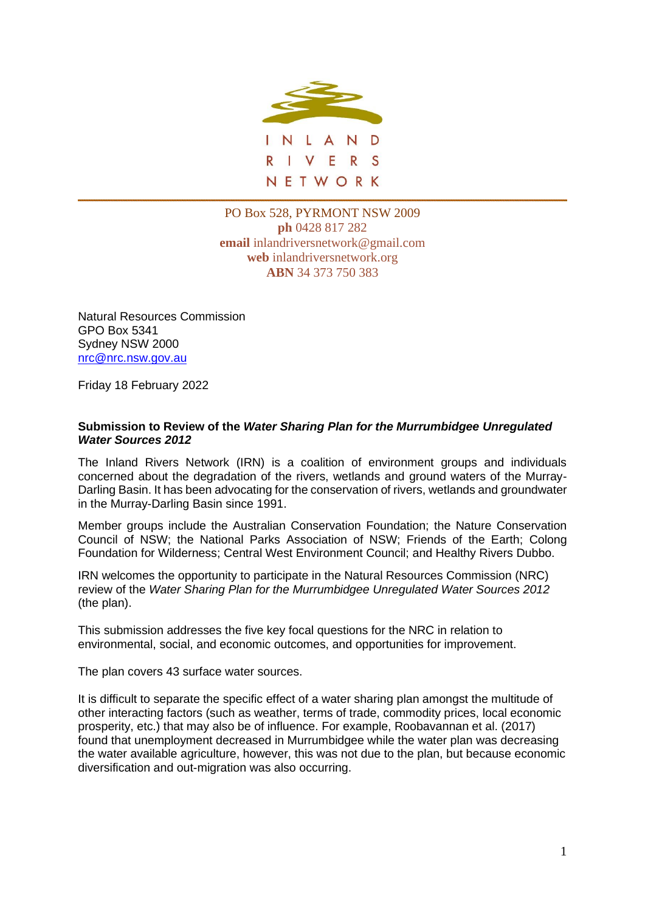

PO Box 528, PYRMONT NSW 2009 **ph** 0428 817 282 **email** inlandriversnetwork@gmail.com **web** inlandriversnetwork.org **ABN** 34 373 750 383

Natural Resources Commission GPO Box 5341 Sydney NSW 2000 [nrc@nrc.nsw.gov.au](mailto:nrc@nrc.nsw.gov.au)

Friday 18 February 2022

#### **Submission to Review of the** *Water Sharing Plan for the Murrumbidgee Unregulated Water Sources 2012*

The Inland Rivers Network (IRN) is a coalition of environment groups and individuals concerned about the degradation of the rivers, wetlands and ground waters of the Murray-Darling Basin. It has been advocating for the conservation of rivers, wetlands and groundwater in the Murray-Darling Basin since 1991.

Member groups include the Australian Conservation Foundation; the Nature Conservation Council of NSW; the National Parks Association of NSW; Friends of the Earth; Colong Foundation for Wilderness; Central West Environment Council; and Healthy Rivers Dubbo.

IRN welcomes the opportunity to participate in the Natural Resources Commission (NRC) review of the *Water Sharing Plan for the Murrumbidgee Unregulated Water Sources 2012*  (the plan).

This submission addresses the five key focal questions for the NRC in relation to environmental, social, and economic outcomes, and opportunities for improvement.

The plan covers 43 surface water sources.

It is difficult to separate the specific effect of a water sharing plan amongst the multitude of other interacting factors (such as weather, terms of trade, commodity prices, local economic prosperity, etc.) that may also be of influence. For example, Roobavannan et al. (2017) found that unemployment decreased in Murrumbidgee while the water plan was decreasing the water available agriculture, however, this was not due to the plan, but because economic diversification and out-migration was also occurring.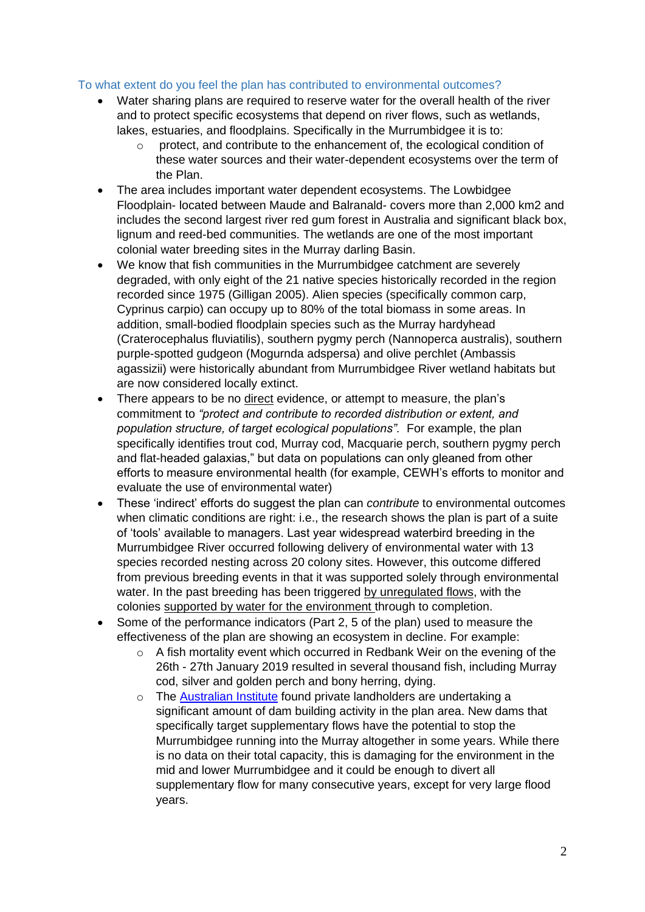### To what extent do you feel the plan has contributed to environmental outcomes?

- Water sharing plans are required to reserve water for the overall health of the river and to protect specific ecosystems that depend on river flows, such as wetlands, lakes, estuaries, and floodplains. Specifically in the Murrumbidgee it is to:
	- $\circ$  protect, and contribute to the enhancement of, the ecological condition of these water sources and their water-dependent ecosystems over the term of the Plan.
- The area includes important water dependent ecosystems. The Lowbidgee Floodplain- located between Maude and Balranald- covers more than 2,000 km2 and includes the second largest river red gum forest in Australia and significant black box, lignum and reed-bed communities. The wetlands are one of the most important colonial water breeding sites in the Murray darling Basin.
- We know that fish communities in the Murrumbidgee catchment are severely degraded, with only eight of the 21 native species historically recorded in the region recorded since 1975 (Gilligan 2005). Alien species (specifically common carp, Cyprinus carpio) can occupy up to 80% of the total biomass in some areas. In addition, small-bodied floodplain species such as the Murray hardyhead (Craterocephalus fluviatilis), southern pygmy perch (Nannoperca australis), southern purple-spotted gudgeon (Mogurnda adspersa) and olive perchlet (Ambassis agassizii) were historically abundant from Murrumbidgee River wetland habitats but are now considered locally extinct.
- There appears to be no direct evidence, or attempt to measure, the plan's commitment to *"protect and contribute to recorded distribution or extent, and population structure, of target ecological populations".* For example, the plan specifically identifies trout cod, Murray cod, Macquarie perch, southern pygmy perch and flat-headed galaxias," but data on populations can only gleaned from other efforts to measure environmental health (for example, CEWH's efforts to monitor and evaluate the use of environmental water)
- These 'indirect' efforts do suggest the plan can *contribute* to environmental outcomes when climatic conditions are right: i.e., the research shows the plan is part of a suite of 'tools' available to managers. Last year widespread waterbird breeding in the Murrumbidgee River occurred following delivery of environmental water with 13 species recorded nesting across 20 colony sites. However, this outcome differed from previous breeding events in that it was supported solely through environmental water. In the past breeding has been triggered by unregulated flows, with the colonies supported by water for the environment through to completion.
- Some of the performance indicators (Part 2, 5 of the plan) used to measure the effectiveness of the plan are showing an ecosystem in decline. For example:
	- o A fish mortality event which occurred in Redbank Weir on the evening of the 26th - 27th January 2019 resulted in several thousand fish, including Murray cod, silver and golden perch and bony herring, dying.
	- o The [Australian Institute](https://australiainstitute.org.au/report/dam-shame/) found private landholders are undertaking a significant amount of dam building activity in the plan area. New dams that specifically target supplementary flows have the potential to stop the Murrumbidgee running into the Murray altogether in some years. While there is no data on their total capacity, this is damaging for the environment in the mid and lower Murrumbidgee and it could be enough to divert all supplementary flow for many consecutive years, except for very large flood years.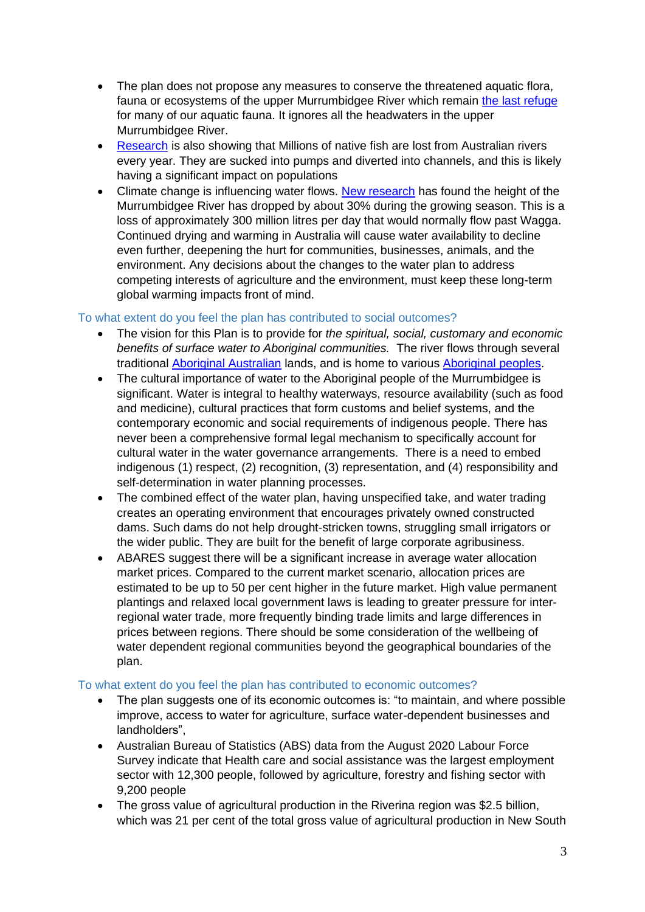- The plan does not propose any measures to conserve the threatened aquatic flora, fauna or ecosystems of the upper Murrumbidgee River which remain [the last refuge](https://theconversation.com/australias-smallest-fish-among-22-at-risk-of-extinction-within-two-decades-144115) for many of our aquatic fauna. It ignores all the headwaters in the upper Murrumbidgee River.
- [Research](https://onlinelibrary.wiley.com/doi/full/10.1111/emr.12483) is also showing that Millions of native fish are lost from Australian rivers every year. They are sucked into pumps and diverted into channels, and this is likely having a significant impact on populations
- Climate change is influencing water flows. [New research](https://theconversation.com/the-murrumbidgee-rivers-wet-season-height-has-dropped-by-30-since-the-1990s-and-the-outlook-is-bleak-165764) has found the height of the Murrumbidgee River has dropped by about 30% during the growing season. This is a loss of approximately 300 million litres per day that would normally flow past Wagga. Continued drying and warming in Australia will cause water availability to decline even further, deepening the hurt for communities, businesses, animals, and the environment. Any decisions about the changes to the water plan to address competing interests of agriculture and the environment, must keep these long-term global warming impacts front of mind.

### To what extent do you feel the plan has contributed to social outcomes?

- The vision for this Plan is to provide for *the spiritual, social, customary and economic benefits of surface water to Aboriginal communities.* The river flows through several traditional [Aboriginal Australian](https://en.wikipedia.org/wiki/Aboriginal_Australian) lands, and is home to various [Aboriginal peoples.](https://en.wikipedia.org/w/index.php?title=List_of_Australian_Aboriginal_groups&action=edit&redlink=1)
- The cultural importance of water to the Aboriginal people of the Murrumbidgee is significant. Water is integral to healthy waterways, resource availability (such as food and medicine), cultural practices that form customs and belief systems, and the contemporary economic and social requirements of indigenous people. There has never been a comprehensive formal legal mechanism to specifically account for cultural water in the water governance arrangements. There is a need to embed indigenous (1) respect, (2) recognition, (3) representation, and (4) responsibility and self-determination in water planning processes.
- The combined effect of the water plan, having unspecified take, and water trading creates an operating environment that encourages privately owned constructed dams. Such dams do not help drought-stricken towns, struggling small irrigators or the wider public. They are built for the benefit of large corporate agribusiness.
- ABARES suggest there will be a significant increase in average water allocation market prices. Compared to the current market scenario, allocation prices are estimated to be up to 50 per cent higher in the future market. High value permanent plantings and relaxed local government laws is leading to greater pressure for interregional water trade, more frequently binding trade limits and large differences in prices between regions. There should be some consideration of the wellbeing of water dependent regional communities beyond the geographical boundaries of the plan.

# To what extent do you feel the plan has contributed to economic outcomes?

- The plan suggests one of its economic outcomes is: "to maintain, and where possible improve, access to water for agriculture, surface water-dependent businesses and landholders",
- Australian Bureau of Statistics (ABS) data from the August 2020 Labour Force Survey indicate that Health care and social assistance was the largest employment sector with 12,300 people, followed by agriculture, forestry and fishing sector with 9,200 people
- The gross value of agricultural production in the Riverina region was \$2.5 billion, which was 21 per cent of the total gross value of agricultural production in New South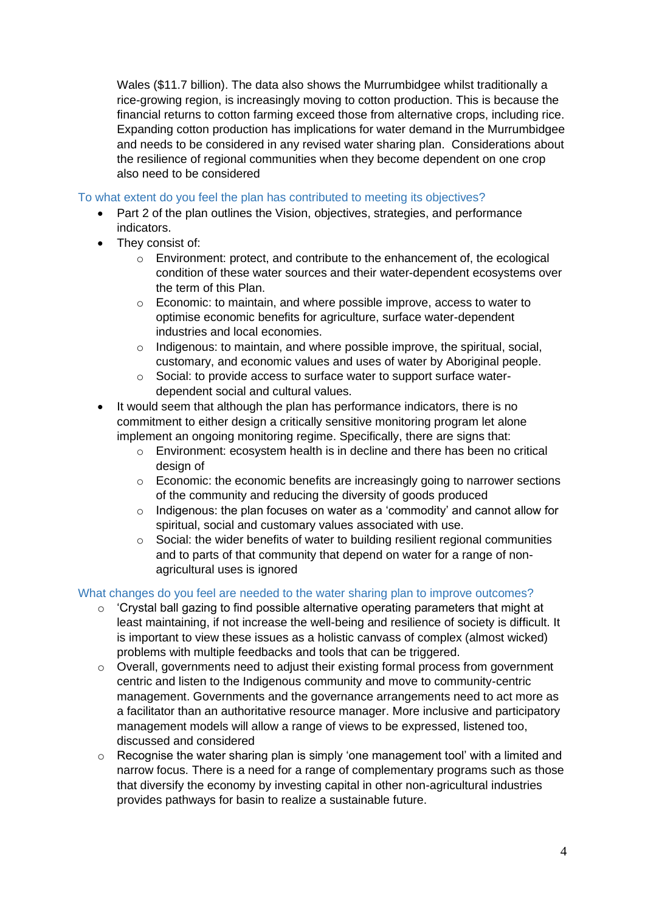Wales (\$11.7 billion). The data also shows the Murrumbidgee whilst traditionally a rice-growing region, is increasingly moving to cotton production. This is because the financial returns to cotton farming exceed those from alternative crops, including rice. Expanding cotton production has implications for water demand in the Murrumbidgee and needs to be considered in any revised water sharing plan. Considerations about the resilience of regional communities when they become dependent on one crop also need to be considered

## To what extent do you feel the plan has contributed to meeting its objectives?

- Part 2 of the plan outlines the Vision, objectives, strategies, and performance indicators.
- They consist of:
	- $\circ$  Environment: protect, and contribute to the enhancement of, the ecological condition of these water sources and their water-dependent ecosystems over the term of this Plan.
	- $\circ$  Economic: to maintain, and where possible improve, access to water to optimise economic benefits for agriculture, surface water-dependent industries and local economies.
	- $\circ$  Indigenous: to maintain, and where possible improve, the spiritual, social, customary, and economic values and uses of water by Aboriginal people.
	- o Social: to provide access to surface water to support surface waterdependent social and cultural values.
- It would seem that although the plan has performance indicators, there is no commitment to either design a critically sensitive monitoring program let alone implement an ongoing monitoring regime. Specifically, there are signs that:
	- o Environment: ecosystem health is in decline and there has been no critical design of
	- $\circ$  Economic: the economic benefits are increasingly going to narrower sections of the community and reducing the diversity of goods produced
	- $\circ$  Indigenous: the plan focuses on water as a 'commodity' and cannot allow for spiritual, social and customary values associated with use.
	- o Social: the wider benefits of water to building resilient regional communities and to parts of that community that depend on water for a range of nonagricultural uses is ignored

# What changes do you feel are needed to the water sharing plan to improve outcomes?

- o 'Crystal ball gazing to find possible alternative operating parameters that might at least maintaining, if not increase the well-being and resilience of society is difficult. It is important to view these issues as a holistic canvass of complex (almost wicked) problems with multiple feedbacks and tools that can be triggered.
- o Overall, governments need to adjust their existing formal process from government centric and listen to the Indigenous community and move to community-centric management. Governments and the governance arrangements need to act more as a facilitator than an authoritative resource manager. More inclusive and participatory management models will allow a range of views to be expressed, listened too, discussed and considered
- $\circ$  Recognise the water sharing plan is simply 'one management tool' with a limited and narrow focus. There is a need for a range of complementary programs such as those that diversify the economy by investing capital in other non-agricultural industries provides pathways for basin to realize a sustainable future.